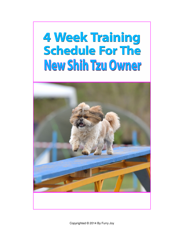# 4 Week Training **Schedule For The** New Shih Tzu Owner



Copyrighted © 2014 By Furry Joy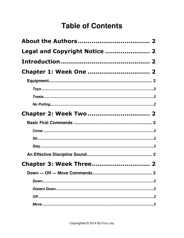### **Table of Contents**

| Legal and Copyright Notice  2  |  |
|--------------------------------|--|
|                                |  |
| <b>Chapter 1: Week One  2</b>  |  |
|                                |  |
|                                |  |
|                                |  |
|                                |  |
| <b>Chapter 2: Week Two  2</b>  |  |
|                                |  |
|                                |  |
|                                |  |
|                                |  |
|                                |  |
| <b>Chapter 3: Week Three 2</b> |  |
|                                |  |
|                                |  |
|                                |  |
|                                |  |
|                                |  |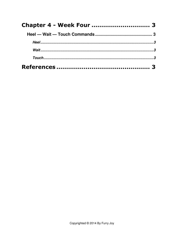| <b>Chapter 4 - Week Four  3</b> |  |
|---------------------------------|--|
|                                 |  |
|                                 |  |
|                                 |  |
|                                 |  |
|                                 |  |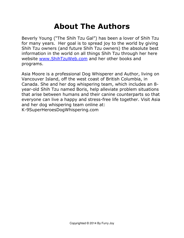### About The Authors

Beverly Young ("The Shih Tzu Gal") has been a lover of Shih Tzu for many years. Her goal is to spread joy to the world by giving Shih Tzu owners (and future Shih Tzu owners) the absolute best information in the world on all things Shih Tzu through her here website www.ShihTzuWeb.com and her other books and programs.

Asia Moore is a professional Dog Whisperer and Author, living on Vancouver Island, off the west coast of British Columbia, in Canada. She and her dog whispering team, which includes an 8 year-old Shih Tzu named Boris, help alleviate problem situations that arise between humans and their canine counterparts so that everyone can live a happy and stress-free life together. Visit Asia and her dog whispering team online at: K-9SuperHeroesDogWhispering.com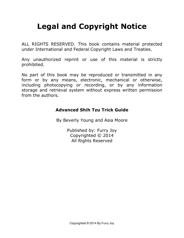## Legal and Copyright Notice

ALL RIGHTS RESERVED. This book contains material protected under International and Federal Copyright Laws and Treaties.

Any unauthorized reprint or use of this material is strictly prohibited.

No part of this book may be reproduced or transmitted in any form or by any means, electronic, mechanical or otherwise, including photocopying or recording, or by any information storage and retrieval system without express written permission from the authors.

#### Advanced Shih Tzu Trick Guide

By Beverly Young and Asia Moore

Published by: Furry Joy Copyrighted © 2014 All Rights Reserved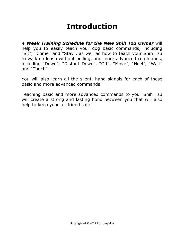### Introduction

4 Week Training Schedule for the New Shih Tzu Owner will help you to easily teach your dog basic commands, including "Sit", "Come" and "Stay", as well as how to teach your Shih Tzu to walk on leash without pulling, and more advanced commands, including "Down", "Distant Down", "Off", "Move", "Heel", "Wait" and "Touch".

You will also learn all the silent, hand signals for each of these basic and more advanced commands.

Teaching basic and more advanced commands to your Shih Tzu will create a strong and lasting bond between you that will also help to keep your fur friend safe.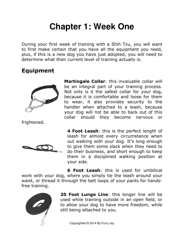# **Chapter 1: Week One**

During your first week of training with a Shih Tzu, you will want to first make certain that you have all the equipment you need, plus, if this is a new dog you have just adopted, you will need to determine what their current level of training actually is.

### Equipment



frightened.



Martingale Collar: this invaluable collar will be an integral part of your training process. Not only is it the safest collar for your dog, because it is comfortable and loose for them to wear, it also provides security to the handler when attached to a leash, because your dog will not be able to back out of this collar should they become nervous or

4 Foot Leash: this is the perfect length of leash for almost every circumstance when out walking with your dog. It's long enough to give them some slack when they need to do their business, and short enough to keep them in a disciplined walking position at your side.

**6 Foot Leash:** this is used for umbilical work with your dog, where you simply tie the leash around your waist, or thread it through the belt loops of your pants for handsfree training.



20 Foot Lunge Line: this longer line will be used while training outside in an open field, or to allow your dog to have more freedom, while still being attached to you.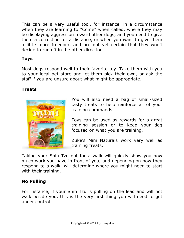This can be a very useful tool, for instance, in a circumstance when they are learning to "Come" when called, where they may be displaying aggression toward other dogs, and you need to give them a correction for a distance, or when you want to give them a little more freedom, and are not yet certain that they won't decide to run off in the other direction.

#### Toys

Most dogs respond well to their favorite toy. Take them with you to your local pet store and let them pick their own, or ask the staff if you are unsure about what might be appropriate.

#### Treats



You will also need a bag of small-sized tasty treats to help reinforce all of your training commands.

Toys can be used as rewards for a great training session or to keep your dog focused on what you are training.

Zuke's Mini Naturals work very well as training treats.

Taking your Shih Tzu out for a walk will quickly show you how much work you have in front of you, and depending on how they respond to a walk, will determine where you might need to start with their training.

#### No Pulling

For instance, if your Shih Tzu is pulling on the lead and will not walk beside you, this is the very first thing you will need to get under control.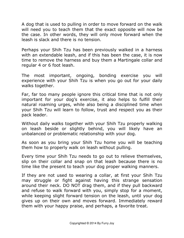A dog that is used to pulling in order to move forward on the walk will need you to teach them that the exact opposite will now be the case. In other words, they will only move forward when the leash is slack and there is no tension.

Perhaps your Shih Tzu has been previously walked in a harness with an extendable leash, and if this has been the case, it is now time to remove the harness and buy them a Martingale collar and regular 4 or 6 foot leash.

The most important, ongoing, bonding exercise you will experience with your Shih Tzu is when you go out for your daily walks together.

Far, far too many people ignore this critical time that is not only important for your dog's exercise, it also helps to fulfill their natural roaming urges, while also being a disciplined time when your Shih Tzu will learn to follow, trust and respect you as their pack leader.

Without daily walks together with your Shih Tzu properly walking on leash beside or slightly behind, you will likely have an unbalanced or problematic relationship with your dog.

As soon as you bring your Shih Tzu home you will be teaching them how to properly walk on leash without pulling.

Every time your Shih Tzu needs to go out to relieve themselves, slip on their collar and snap on that leash because there is no time like the present to teach your dog proper walking manners.

If they are not used to wearing a collar, at first your Shih Tzu may struggle or fight against having this strange sensation around their neck. DO NOT drag them, and if they pull backward and refuse to walk forward with you, simply stop for a moment, while keeping slight forward tension on the leash, until your dog gives up on their own and moves forward. Immediately reward them with your happy praise, and perhaps, a favorite treat.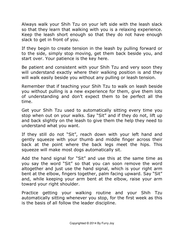Always walk your Shih Tzu on your left side with the leash slack so that they learn that walking with you is a relaxing experience. Keep the leash short enough so that they do not have enough slack to get in front of you.

If they begin to create tension in the leash by pulling forward or to the side, simply stop moving, get them back beside you, and start over. Your patience is the key here.

Be patient and consistent with your Shih Tzu and very soon they will understand exactly where their walking position is and they will walk easily beside you without any pulling or leash tension.

Remember that if teaching your Shih Tzu to walk on leash beside you without pulling is a new experience for them, give them lots of understanding and don't expect them to be perfect all the time.

Get your Shih Tzu used to automatically sitting every time you stop when out on your walks. Say "Sit" and if they do not, lift up and back slightly on the leash to give them the help they need to understand what you want.

If they still do not "Sit", reach down with your left hand and gently squeeze with your thumb and middle finger across their back at the point where the back legs meet the hips. This squeeze will make most dogs automatically sit.

Add the hand signal for "Sit" and use this at the same time as you say the word "Sit" so that you can soon remove the word altogether and just use the hand signal, which is your right arm bent at the elbow, fingers together, palm facing upward. Say "Sit" and, while keeping your arm bent at the elbow, raise your arm toward your right shoulder.

Practice getting your walking routine and your Shih Tzu automatically sitting whenever you stop, for the first week as this is the basis of all follow the leader discipline.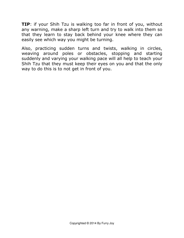**TIP:** if your Shih Tzu is walking too far in front of you, without any warning, make a sharp left turn and try to walk into them so that they learn to stay back behind your knee where they can easily see which way you might be turning.

Also, practicing sudden turns and twists, walking in circles, weaving around poles or obstacles, stopping and starting suddenly and varying your walking pace will all help to teach your Shih Tzu that they must keep their eyes on you and that the only way to do this is to not get in front of you.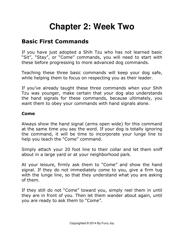# **Chapter 2: Week Two**

### Basic First Commands

If you have just adopted a Shih Tzu who has not learned basic "Sit", "Stay", or "Come" commands, you will need to start with these before progressing to more advanced dog commands.

Teaching these three basic commands will keep your dog safe, while helping them to focus on respecting you as their leader.

If you've already taught these three commands when your Shih Tzu was younger, make certain that your dog also understands the hand signals for these commands, because ultimately, you want them to obey your commands with hand signals alone.

#### Come

Always show the hand signal (arms open wide) for this command at the same time you say the word. If your dog is totally ignoring the command, it will be time to incorporate your lunge line to help you teach the "Come" command.

Simply attach your 20 foot line to their collar and let them sniff about in a large yard or at your neighborhood park.

At your leisure, firmly ask them to "Come" and show the hand signal. If they do not immediately come to you, give a firm tug with the lunge line, so that they understand what you are asking of them.

If they still do not "Come" toward you, simply reel them in until they are in front of you. Then let them wander about again, until you are ready to ask them to "Come".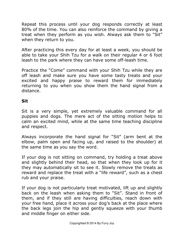Repeat this process until your dog responds correctly at least 80% of the time. You can also reinforce the command by giving a treat when they perform as you wish. Always ask them to "Sit" when they return to you.

After practicing this every day for at least a week, you should be able to take your Shih Tzu for a walk on their regular 4 or 6 foot leash to the park where they can have some off-leash time.

Practice the "Come" command with your Shih Tzu while they are off leash and make sure you have some tasty treats and your excited and happy praise to reward them for immediately returning to you when you show them the hand signal from a distance.

#### **Sit**

Sit is a very simple, yet extremely valuable command for all puppies and dogs. The mere act of the sitting motion helps to calm an excited mind, while at the same time teaching discipline and respect.

Always incorporate the hand signal for "Sit" (arm bent at the elbow, palm open and facing up, and raised to the shoulder) at the same time as you say the word.

If your dog is not sitting on command, try holding a treat above and slightly behind their head, so that when they look up for it they may automatically sit to see it. Slowly remove the treats as reward and replace the treat with a "life reward", such as a chest rub and your praise.

If your dog is not particularly treat motivated, lift up and slightly back on the leash when asking them to "Sit". Stand in front of them, and if they still are having difficulties, reach down with your free hand, place it across your dog's back at the place where the back legs join the hip and gently squeeze with your thumb and middle finger on either side.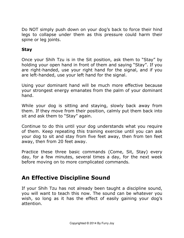Do NOT simply push down on your dog's back to force their hind legs to collapse under them as this pressure could harm their spine or leg joints.

#### **Stav**

Once your Shih Tzu is in the Sit position, ask them to "Stay" by holding your open hand in front of them and saying "Stay". If you are right-handed, use your right hand for the signal, and if you are left-handed, use your left hand for the signal.

Using your dominant hand will be much more effective because your strongest energy emanates from the palm of your dominant hand.

While your dog is sitting and staying, slowly back away from them. If they move from their position, calmly put them back into sit and ask them to "Stay" again.

Continue to do this until your dog understands what you require of them. Keep repeating this training exercise until you can ask your dog to sit and stay from five feet away, then from ten feet away, then from 20 feet away.

Practice these three basic commands (Come, Sit, Stay) every day, for a few minutes, several times a day, for the next week before moving on to more complicated commands.

### An Effective Discipline Sound

If your Shih Tzu has not already been taught a discipline sound, you will want to teach this now. The sound can be whatever you wish, so long as it has the effect of easily gaining your dog's attention.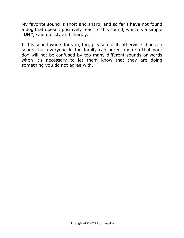My favorite sound is short and sharp, and so far I have not found a dog that doesn't positively react to this sound, which is a simple "UH", said quickly and sharply.

If this sound works for you, too, please use it, otherwise choose a sound that everyone in the family can agree upon so that your dog will not be confused by too many different sounds or words when it's necessary to let them know that they are doing something you do not agree with.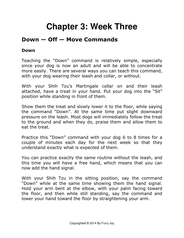# **Chapter 3: Week Three**

### Down — Off — Move Commands

#### Down

Teaching the "Down" command is relatively simple, especially since your dog is now an adult and will be able to concentrate more easily. There are several ways you can teach this command, with your dog wearing their leash and collar, or without.

With your Shih Tzu's Martingale collar on and their leash attached, have a treat in your hand. Put your dog into the "Sit" position while standing in front of them.

Show them the treat and slowly lower it to the floor, while saying the command "Down". At the same time put slight downward pressure on the leash. Most dogs will immediately follow the treat to the ground and when they do, praise them and allow them to eat the treat.

Practice this "Down" command with your dog 6 to 8 times for a couple of minutes each day for the next week so that they understand exactly what is expected of them.

You can practice exactly the same routine without the leash, and this time you will have a free hand, which means that you can now add the hand signal.

With your Shih Tzu in the sitting position, say the command "Down" while at the same time showing them the hand signal. Hold your arm bent at the elbow, with your palm facing toward the floor, and then while still standing, say the command and lower your hand toward the floor by straightening your arm.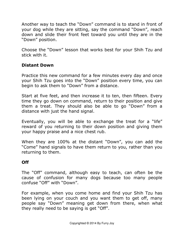Another way to teach the "Down" command is to stand in front of your dog while they are sitting, say the command "Down", reach down and slide their front feet toward you until they are in the "Down" position.

Choose the "Down" lesson that works best for your Shih Tzu and stick with it.

#### Distant Down

Practice this new command for a few minutes every day and once your Shih Tzu goes into the "Down" position every time, you can begin to ask them to "Down" from a distance.

Start at five feet, and then increase it to ten, then fifteen. Every time they go down on command, return to their position and give them a treat. They should also be able to go "Down" from a distance with just the hand signal.

Eventually, you will be able to exchange the treat for a "life" reward of you returning to their down position and giving them your happy praise and a nice chest rub.

When they are 100% at the distant "Down", you can add the "Come" hand signals to have them return to you, rather than you returning to them.

#### Off

The "Off" command, although easy to teach, can often be the cause of confusion for many dogs because too many people confuse "Off" with "Down".

For example, when you come home and find your Shih Tzu has been lying on your couch and you want them to get off, many people say "Down" meaning get down from there, when what they really need to be saying is get "Off".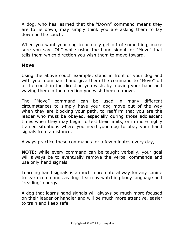A dog, who has learned that the "Down" command means they are to lie down, may simply think you are asking them to lay down on the couch.

When you want your dog to actually get off of something, make sure you say "Off" while using the hand signal for "Move" that tells them which direction you wish them to move toward.

#### Move

Using the above couch example, stand in front of your dog and with your dominant hand give them the command to "Move" off of the couch in the direction you wish, by moving your hand and waving them in the direction you wish them to move.

The "Move" command can be used in many different circumstances to simply have your dog move out of the way when they are blocking your path, to reaffirm that you are the leader who must be obeyed, especially during those adolescent times when they may begin to test their limits, or in more highly trained situations where you need your dog to obey your hand signals from a distance.

Always practice these commands for a few minutes every day,

NOTE: while every command can be taught verbally, your goal will always be to eventually remove the verbal commands and use only hand signals.

Learning hand signals is a much more natural way for any canine to learn commands as dogs learn by watching body language and "reading" energy.

A dog that learns hand signals will always be much more focused on their leader or handler and will be much more attentive, easier to train and keep safe.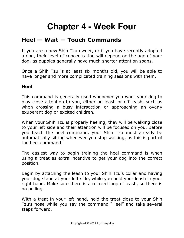# **Chapter 4 - Week Four**

### Heel — Wait — Touch Commands

If you are a new Shih Tzu owner, or if you have recently adopted a dog, their level of concentration will depend on the age of your dog, as puppies generally have much shorter attention spans.

Once a Shih Tzu is at least six months old, you will be able to have longer and more complicated training sessions with them.

#### Heel

This command is generally used whenever you want your dog to play close attention to you, either on leash or off leash, such as when crossing a busy intersection or approaching an overly exuberant dog or excited children.

When your Shih Tzu is properly heeling, they will be walking close to your left side and their attention will be focused on you. Before you teach the heel command, your Shih Tzu must already be automatically sitting whenever you stop walking, as this is part of the heel command.

The easiest way to begin training the heel command is when using a treat as extra incentive to get your dog into the correct position.

Begin by attaching the leash to your Shih Tzu's collar and having your dog stand at your left side, while you hold your leash in your right hand. Make sure there is a relaxed loop of leash, so there is no pulling.

With a treat in your left hand, hold the treat close to your Shih Tzu's nose while you say the command "Heel" and take several steps forward.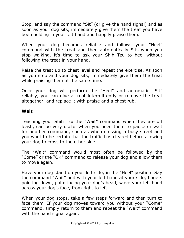Stop, and say the command "Sit" (or give the hand signal) and as soon as your dog sits, immediately give them the treat you have been holding in your left hand and happily praise them.

When your dog becomes reliable and follows your "Heel" command with the treat and then automatically Sits when you stop walking, it's time to ask your Shih Tzu to heel without following the treat in your hand.

Raise the treat up to chest level and repeat the exercise. As soon as you stop and your dog sits, immediately give them the treat while praising them at the same time.

Once your dog will perform the "Heel" and automatic "Sit" reliably, you can give a treat intermittently or remove the treat altogether, and replace it with praise and a chest rub.

#### Wait

Teaching your Shih Tzu the "Wait" command when they are off leash, can be very useful when you need them to pause or wait for another command, such as when crossing a busy street and you want to be certain that the traffic has cleared before allowing your dog to cross to the other side.

The "Wait" command would most often be followed by the "Come" or the "OK" command to release your dog and allow them to move again.

Have your dog stand on your left side, in the "Heel" position. Say the command "Wait" and with your left hand at your side, fingers pointing down, palm facing your dog's head, wave your left hand across your dog's face, from right to left.

When your dog stops, take a few steps forward and then turn to face them. If your dog moves toward you without your "Come" command, simply return to them and repeat the "Wait" command with the hand signal again.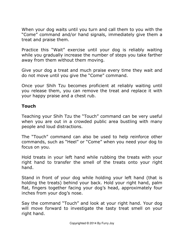When your dog waits until you turn and call them to you with the "Come" command and/or hand signals, immediately give them a treat and praise them.

Practice this "Wait" exercise until your dog is reliably waiting while you gradually increase the number of steps you take farther away from them without them moving.

Give your dog a treat and much praise every time they wait and do not move until you give the "Come" command.

Once your Shih Tzu becomes proficient at reliably waiting until you release them, you can remove the treat and replace it with your happy praise and a chest rub.

#### Touch

Teaching your Shih Tzu the "Touch" command can be very useful when you are out in a crowded public area bustling with many people and loud distractions.

The "Touch" command can also be used to help reinforce other commands, such as "Heel" or "Come" when you need your dog to focus on you.

Hold treats in your left hand while rubbing the treats with your right hand to transfer the smell of the treats onto your right hand.

Stand in front of your dog while holding your left hand (that is holding the treats) behind your back. Hold your right hand, palm flat, fingers together facing your dog's head, approximately four inches from your dog's nose.

Say the command "Touch" and look at your right hand. Your dog will move forward to investigate the tasty treat smell on your right hand.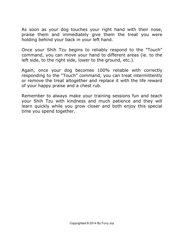As soon as your dog touches your right hand with their nose, praise them and immediately give them the treat you were holding behind your back in your left hand.

Once your Shih Tzu begins to reliably respond to the "Touch" command, you can move your hand to different areas (ie. to the left side, to the right side, lower to the ground, etc.).

Again, once your dog becomes 100% reliable with correctly responding to the "Touch" command, you can treat intermittently or remove the treat altogether and replace it with the life reward of your happy praise and a chest rub.

Remember to always make your training sessions fun and teach your Shih Tzu with kindness and much patience and they will learn quickly while you grow closer and both enjoy this special time you spend together.